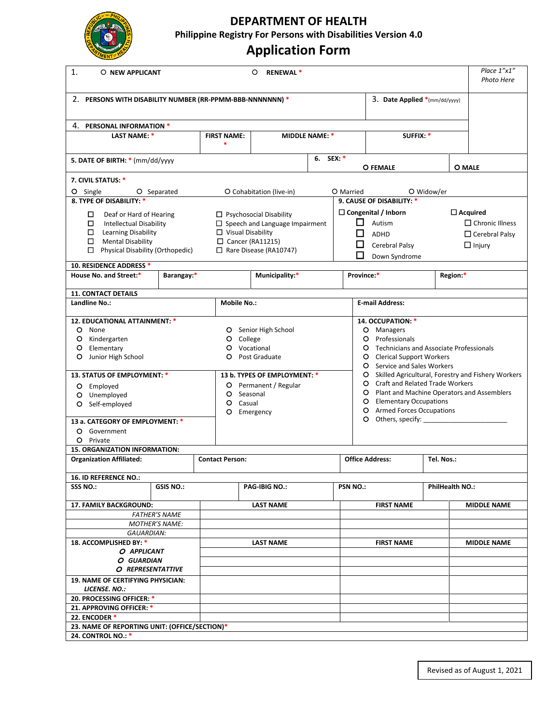

### **DEPARTMENT OF HEALTH**

**Philippine Registry For Persons with Disabilities Version 4.0**

# **Application Form**

| 1.<br><b>RENEWAL*</b><br>O NEW APPLICANT<br>O                                                                                                                                                                                                               |                                                             |                                                                                                                                                                                                |                          |                                                                                                             | Place 1"x1"<br>Photo Here            |                                                                                                                                                                                                                                                                                                                                                                                                   |                                                                                     |  |                    |
|-------------------------------------------------------------------------------------------------------------------------------------------------------------------------------------------------------------------------------------------------------------|-------------------------------------------------------------|------------------------------------------------------------------------------------------------------------------------------------------------------------------------------------------------|--------------------------|-------------------------------------------------------------------------------------------------------------|--------------------------------------|---------------------------------------------------------------------------------------------------------------------------------------------------------------------------------------------------------------------------------------------------------------------------------------------------------------------------------------------------------------------------------------------------|-------------------------------------------------------------------------------------|--|--------------------|
| 2. PERSONS WITH DISABILITY NUMBER (RR-PPMM-BBB-NNNNNNN) *<br>3. Date Applied *(mm/dd/yyyy)                                                                                                                                                                  |                                                             |                                                                                                                                                                                                |                          |                                                                                                             |                                      |                                                                                                                                                                                                                                                                                                                                                                                                   |                                                                                     |  |                    |
| 4. PERSONAL INFORMATION *                                                                                                                                                                                                                                   |                                                             |                                                                                                                                                                                                |                          |                                                                                                             |                                      |                                                                                                                                                                                                                                                                                                                                                                                                   |                                                                                     |  |                    |
| LAST NAME: *                                                                                                                                                                                                                                                | <b>FIRST NAME:</b>                                          | <b>MIDDLE NAME: *</b>                                                                                                                                                                          |                          |                                                                                                             | SUFFIX: *                            |                                                                                                                                                                                                                                                                                                                                                                                                   |                                                                                     |  |                    |
| 5. DATE OF BIRTH: * (mm/dd/yyyy                                                                                                                                                                                                                             | 6. $SEX: *$                                                 |                                                                                                                                                                                                |                          | <b>O FEMALE</b>                                                                                             |                                      | O MALE                                                                                                                                                                                                                                                                                                                                                                                            |                                                                                     |  |                    |
| 7. CIVIL STATUS: *<br>O Single                                                                                                                                                                                                                              | O Separated                                                 |                                                                                                                                                                                                |                          |                                                                                                             | O Married                            |                                                                                                                                                                                                                                                                                                                                                                                                   |                                                                                     |  |                    |
| 8. TYPE OF DISABILITY: *                                                                                                                                                                                                                                    |                                                             |                                                                                                                                                                                                | O Cohabitation (live-in) |                                                                                                             |                                      | 9. CAUSE OF DISABILITY: *                                                                                                                                                                                                                                                                                                                                                                         | O Widow/er                                                                          |  |                    |
| □<br>Deaf or Hard of Hearing<br><b>Intellectual Disability</b><br>□<br>Learning Disability<br>0<br><b>Mental Disability</b><br>□<br>Physical Disability (Orthopedic)<br>□                                                                                   |                                                             | $\Box$ Psychosocial Disability<br>$\Box$ Speech and Language Impairment<br>$\Box$ Visual Disability<br>$\Box$ Cancer (RA11215)<br>$\Box$ Rare Disease (RA10747)                                |                          | $\Box$ Congenital / Inborn<br>П<br>Autism<br>$\mathbf{I}$<br>ADHD<br>l 1<br>Cerebral Palsy<br>Down Syndrome |                                      |                                                                                                                                                                                                                                                                                                                                                                                                   | $\Box$ Acquired<br>$\Box$ Chronic Illness<br>$\Box$ Cerebral Palsy<br>$\Box$ Injury |  |                    |
| 10. RESIDENCE ADDRESS *                                                                                                                                                                                                                                     |                                                             |                                                                                                                                                                                                |                          |                                                                                                             |                                      |                                                                                                                                                                                                                                                                                                                                                                                                   |                                                                                     |  |                    |
| House No. and Street:*                                                                                                                                                                                                                                      | Barangay:*                                                  |                                                                                                                                                                                                | Municipality:*           |                                                                                                             | Province:*                           |                                                                                                                                                                                                                                                                                                                                                                                                   | Region:*                                                                            |  |                    |
| <b>11. CONTACT DETAILS</b>                                                                                                                                                                                                                                  |                                                             |                                                                                                                                                                                                |                          |                                                                                                             |                                      |                                                                                                                                                                                                                                                                                                                                                                                                   |                                                                                     |  |                    |
| Landline No.:                                                                                                                                                                                                                                               |                                                             |                                                                                                                                                                                                | <b>Mobile No.:</b>       |                                                                                                             |                                      | <b>E-mail Address:</b>                                                                                                                                                                                                                                                                                                                                                                            |                                                                                     |  |                    |
| 12. EDUCATIONAL ATTAINMENT. *<br>O None<br>Kindergarten<br>o<br>Elementary<br>O.<br>Junior High School<br>o<br>13. STATUS OF EMPLOYMENT: *<br>O Employed<br>O Unemployed<br>O Self-employed<br>13 a. CATEGORY OF EMPLOYMENT: *<br>O Government<br>O Private |                                                             | O Senior High School<br>College<br>O<br>Vocational<br>O<br>Post Graduate<br>O<br>13 b. TYPES OF EMPLOYMENT: *<br>O Permanent / Regular<br>$\circ$<br>Seasonal<br>Casual<br>O<br>O<br>Emergency |                          |                                                                                                             |                                      | 14. OCCUPATION: *<br><b>O</b> Managers<br>O Professionals<br>O Technicians and Associate Professionals<br>O Clerical Support Workers<br><b>O</b> Service and Sales Workers<br>O Skilled Agricultural, Forestry and Fishery Workers<br>O Craft and Related Trade Workers<br>O Plant and Machine Operators and Assemblers<br>O Elementary Occupations<br>$\circ$<br><b>Armed Forces Occupations</b> |                                                                                     |  |                    |
| 15. ORGANIZATION INFORMATION:                                                                                                                                                                                                                               |                                                             |                                                                                                                                                                                                |                          |                                                                                                             |                                      |                                                                                                                                                                                                                                                                                                                                                                                                   |                                                                                     |  |                    |
| <b>Organization Affiliated:</b>                                                                                                                                                                                                                             | <b>Contact Person:</b>                                      |                                                                                                                                                                                                |                          |                                                                                                             | <b>Office Address:</b><br>Tel. Nos.: |                                                                                                                                                                                                                                                                                                                                                                                                   |                                                                                     |  |                    |
| 16. ID REFERENCE NO.:                                                                                                                                                                                                                                       |                                                             |                                                                                                                                                                                                |                          |                                                                                                             |                                      |                                                                                                                                                                                                                                                                                                                                                                                                   |                                                                                     |  |                    |
| SSS NO.:                                                                                                                                                                                                                                                    | <b>GSIS NO.:</b><br><b>PAG-IBIG NO.:</b><br><b>PSN NO.:</b> |                                                                                                                                                                                                |                          | <b>PhilHealth NO.:</b>                                                                                      |                                      |                                                                                                                                                                                                                                                                                                                                                                                                   |                                                                                     |  |                    |
| 17. FAMILY BACKGROUND:                                                                                                                                                                                                                                      |                                                             |                                                                                                                                                                                                | <b>LAST NAME</b>         |                                                                                                             |                                      | <b>FIRST NAME</b>                                                                                                                                                                                                                                                                                                                                                                                 |                                                                                     |  | <b>MIDDLE NAME</b> |
| <b>FATHER'S NAME</b>                                                                                                                                                                                                                                        |                                                             |                                                                                                                                                                                                |                          |                                                                                                             |                                      |                                                                                                                                                                                                                                                                                                                                                                                                   |                                                                                     |  |                    |
| <b>MOTHER'S NAME:</b><br>GAUARDIAN:                                                                                                                                                                                                                         |                                                             |                                                                                                                                                                                                |                          |                                                                                                             |                                      |                                                                                                                                                                                                                                                                                                                                                                                                   |                                                                                     |  |                    |
| 18. ACCOMPLISHED BY: *                                                                                                                                                                                                                                      |                                                             | <b>LAST NAME</b>                                                                                                                                                                               |                          |                                                                                                             | <b>FIRST NAME</b>                    |                                                                                                                                                                                                                                                                                                                                                                                                   |                                                                                     |  | <b>MIDDLE NAME</b> |
| O APPLICANT                                                                                                                                                                                                                                                 |                                                             |                                                                                                                                                                                                |                          |                                                                                                             |                                      |                                                                                                                                                                                                                                                                                                                                                                                                   |                                                                                     |  |                    |
| O GUARDIAN<br>O REPRESENTATTIVE                                                                                                                                                                                                                             |                                                             |                                                                                                                                                                                                |                          |                                                                                                             |                                      |                                                                                                                                                                                                                                                                                                                                                                                                   |                                                                                     |  |                    |
| <b>19. NAME OF CERTIFYING PHYSICIAN:</b><br><b>LICENSE, NO.:</b>                                                                                                                                                                                            |                                                             |                                                                                                                                                                                                |                          |                                                                                                             |                                      |                                                                                                                                                                                                                                                                                                                                                                                                   |                                                                                     |  |                    |
| 20. PROCESSING OFFICER: *                                                                                                                                                                                                                                   |                                                             |                                                                                                                                                                                                |                          |                                                                                                             |                                      |                                                                                                                                                                                                                                                                                                                                                                                                   |                                                                                     |  |                    |
| 21. APPROVING OFFICER: *                                                                                                                                                                                                                                    |                                                             |                                                                                                                                                                                                |                          |                                                                                                             |                                      |                                                                                                                                                                                                                                                                                                                                                                                                   |                                                                                     |  |                    |
| 22. ENCODER *                                                                                                                                                                                                                                               |                                                             |                                                                                                                                                                                                |                          |                                                                                                             |                                      |                                                                                                                                                                                                                                                                                                                                                                                                   |                                                                                     |  |                    |
| 23. NAME OF REPORTING UNIT: (OFFICE/SECTION)*                                                                                                                                                                                                               |                                                             |                                                                                                                                                                                                |                          |                                                                                                             |                                      |                                                                                                                                                                                                                                                                                                                                                                                                   |                                                                                     |  |                    |
| <b>24. CONTROL NO.: *</b>                                                                                                                                                                                                                                   |                                                             |                                                                                                                                                                                                |                          |                                                                                                             |                                      |                                                                                                                                                                                                                                                                                                                                                                                                   |                                                                                     |  |                    |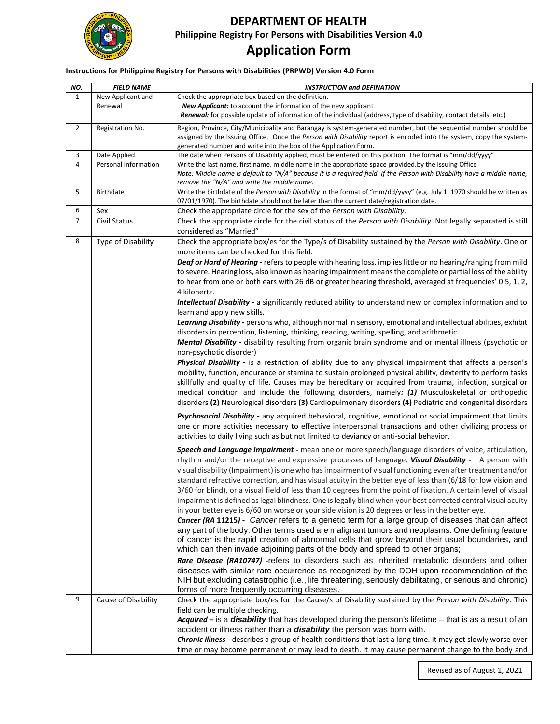

## **DEPARTMENT OF HEALTH Philippine Registry For Persons with Disabilities Version 4.0**

### **Application Form**

#### **Instructions for Philippine Registry for Persons with Disabilities (PRPWD) Version 4.0 Form**

| NO.            | <b>FIELD NAME</b>    | <b>INSTRUCTION and DEFINATION</b>                                                                                                                                                                                  |
|----------------|----------------------|--------------------------------------------------------------------------------------------------------------------------------------------------------------------------------------------------------------------|
| $\mathbf{1}$   | New Applicant and    | Check the appropriate box based on the definition.                                                                                                                                                                 |
|                | Renewal              | New Applicant: to account the information of the new applicant                                                                                                                                                     |
|                |                      | Renewal: for possible update of information of the individual (address, type of disability, contact details, etc.)                                                                                                 |
| $\overline{2}$ | Registration No.     | Region, Province, City/Municipality and Barangay is system-generated number, but the sequential number should be                                                                                                   |
|                |                      | assigned by the Issuing Office. Once the Person with Disability report is encoded into the system, copy the system-                                                                                                |
| 3              | Date Applied         | generated number and write into the box of the Application Form.<br>The date when Persons of Disability applied, must be entered on this portion. The format is "mm/dd/yyyy"                                       |
| 4              | Personal Information | Write the last name, first name, middle name in the appropriate space provided.by the Issuing Office                                                                                                               |
|                |                      | Note: Middle name is default to "N/A" because it is a required field. If the Person with Disability have a middle name,                                                                                            |
|                |                      | remove the "N/A" and write the middle name.                                                                                                                                                                        |
| 5              | <b>Birthdate</b>     | Write the birthdate of the Person with Disability in the format of "mm/dd/yyyy" (e.g. July 1, 1970 should be written as<br>07/01/1970). The birthdate should not be later than the current date/registration date. |
| 6              | Sex                  | Check the appropriate circle for the sex of the Person with Disability.                                                                                                                                            |
| $\overline{7}$ | <b>Civil Status</b>  | Check the appropriate circle for the civil status of the Person with Disability. Not legally separated is still                                                                                                    |
|                |                      | considered as "Married"                                                                                                                                                                                            |
| 8              | Type of Disability   | Check the appropriate box/es for the Type/s of Disability sustained by the Person with Disability. One or                                                                                                          |
|                |                      | more items can be checked for this field.                                                                                                                                                                          |
|                |                      | Deaf or Hard of Hearing - refers to people with hearing loss, implies little or no hearing/ranging from mild                                                                                                       |
|                |                      | to severe. Hearing loss, also known as hearing impairment means the complete or partial loss of the ability                                                                                                        |
|                |                      | to hear from one or both ears with 26 dB or greater hearing threshold, averaged at frequencies' 0.5, 1, 2,                                                                                                         |
|                |                      | 4 kilohertz.                                                                                                                                                                                                       |
|                |                      | Intellectual Disability - a significantly reduced ability to understand new or complex information and to                                                                                                          |
|                |                      | learn and apply new skills.                                                                                                                                                                                        |
|                |                      | Learning Disability - persons who, although normal in sensory, emotional and intellectual abilities, exhibit                                                                                                       |
|                |                      | disorders in perception, listening, thinking, reading, writing, spelling, and arithmetic.                                                                                                                          |
|                |                      | Mental Disability - disability resulting from organic brain syndrome and or mental illness (psychotic or                                                                                                           |
|                |                      | non-psychotic disorder)                                                                                                                                                                                            |
|                |                      | Physical Disability - is a restriction of ability due to any physical impairment that affects a person's                                                                                                           |
|                |                      | mobility, function, endurance or stamina to sustain prolonged physical ability, dexterity to perform tasks                                                                                                         |
|                |                      | skillfully and quality of life. Causes may be hereditary or acquired from trauma, infection, surgical or                                                                                                           |
|                |                      | medical condition and include the following disorders, namely: (1) Musculoskeletal or orthopedic                                                                                                                   |
|                |                      | disorders (2) Neurological disorders (3) Cardiopulmonary disorders (4) Pediatric and congenital disorders                                                                                                          |
|                |                      | Psychosocial Disability - any acquired behavioral, cognitive, emotional or social impairment that limits                                                                                                           |
|                |                      | one or more activities necessary to effective interpersonal transactions and other civilizing process or                                                                                                           |
|                |                      | activities to daily living such as but not limited to deviancy or anti-social behavior.                                                                                                                            |
|                |                      | Speech and Language Impairment - mean one or more speech/language disorders of voice, articulation,                                                                                                                |
|                |                      | rhythm and/or the receptive and expressive processes of language. Visual Disability - A person with                                                                                                                |
|                |                      | visual disability (Impairment) is one who has impairment of visual functioning even after treatment and/or                                                                                                         |
|                |                      | standard refractive correction, and has visual acuity in the better eye of less than (6/18 for low vision and                                                                                                      |
|                |                      | 3/60 for blind), or a visual field of less than 10 degrees from the point of fixation. A certain level of visual                                                                                                   |
|                |                      | impairment is defined as legal blindness. One is legally blind when your best corrected central visual acuity                                                                                                      |
|                |                      | in your better eye is 6/60 on worse or your side vision is 20 degrees or less in the better eye.                                                                                                                   |
|                |                      | Cancer (RA 11215) - Cancer refers to a genetic term for a large group of diseases that can affect                                                                                                                  |
|                |                      | any part of the body. Other terms used are malignant tumors and neoplasms. One defining feature                                                                                                                    |
|                |                      | of cancer is the rapid creation of abnormal cells that grow beyond their usual boundaries, and                                                                                                                     |
|                |                      | which can then invade adjoining parts of the body and spread to other organs;                                                                                                                                      |
|                |                      | Rare Disease (RA10747) -refers to disorders such as inherited metabolic disorders and other                                                                                                                        |
|                |                      | diseases with similar rare occurrence as recognized by the DOH upon recommendation of the                                                                                                                          |
|                |                      | NIH but excluding catastrophic (i.e., life threatening, seriously debilitating, or serious and chronic)                                                                                                            |
|                |                      | forms of more frequently occurring diseases.                                                                                                                                                                       |
| 9              | Cause of Disability  | Check the appropriate box/es for the Cause/s of Disability sustained by the Person with Disability. This                                                                                                           |
|                |                      | field can be multiple checking.                                                                                                                                                                                    |
|                |                      | Acquired – is a disability that has developed during the person's lifetime – that is as a result of an                                                                                                             |
|                |                      | accident or illness rather than a disability the person was born with.                                                                                                                                             |
|                |                      | Chronic illness - describes a group of health conditions that last a long time. It may get slowly worse over                                                                                                       |
|                |                      | time or may become permanent or may lead to death. It may cause permanent change to the body and                                                                                                                   |

Revised as of August 1, 2021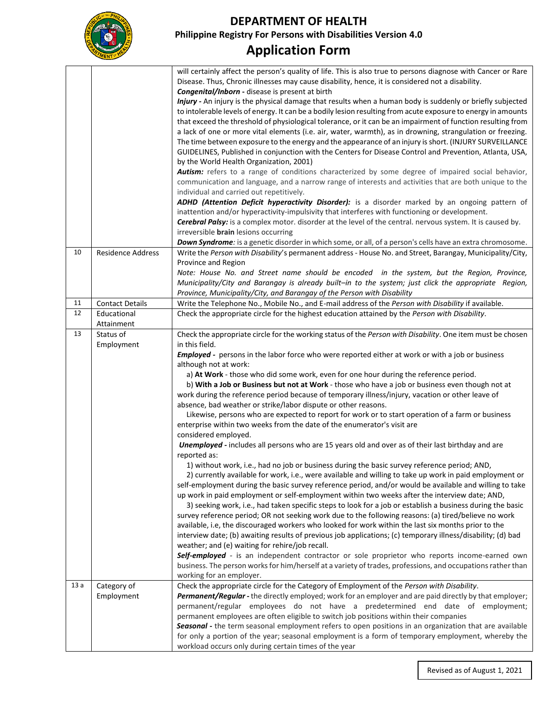

### **DEPARTMENT OF HEALTH Philippine Registry For Persons with Disabilities Version 4.0 Application Form**

|     |                           | will certainly affect the person's quality of life. This is also true to persons diagnose with Cancer or Rare<br>Disease. Thus, Chronic illnesses may cause disability, hence, it is considered not a disability.<br>Congenital/Inborn - disease is present at birth<br>Injury - An injury is the physical damage that results when a human body is suddenly or briefly subjected<br>to intolerable levels of energy. It can be a bodily lesion resulting from acute exposure to energy in amounts<br>that exceed the threshold of physiological tolerance, or it can be an impairment of function resulting from<br>a lack of one or more vital elements (i.e. air, water, warmth), as in drowning, strangulation or freezing.<br>The time between exposure to the energy and the appearance of an injury is short. (INJURY SURVEILLANCE<br>GUIDELINES, Published in conjunction with the Centers for Disease Control and Prevention, Atlanta, USA,<br>by the World Health Organization, 2001)<br>Autism: refers to a range of conditions characterized by some degree of impaired social behavior,<br>communication and language, and a narrow range of interests and activities that are both unique to the<br>individual and carried out repetitively.<br>ADHD (Attention Deficit hyperactivity Disorder): is a disorder marked by an ongoing pattern of<br>inattention and/or hyperactivity-impulsivity that interferes with functioning or development.<br>Cerebral Palsy: is a complex motor. disorder at the level of the central. nervous system. It is caused by.<br>irreversible brain lesions occurring                                                                                                                                                                                                                                                                                                                                                                                                                                                                                                        |
|-----|---------------------------|----------------------------------------------------------------------------------------------------------------------------------------------------------------------------------------------------------------------------------------------------------------------------------------------------------------------------------------------------------------------------------------------------------------------------------------------------------------------------------------------------------------------------------------------------------------------------------------------------------------------------------------------------------------------------------------------------------------------------------------------------------------------------------------------------------------------------------------------------------------------------------------------------------------------------------------------------------------------------------------------------------------------------------------------------------------------------------------------------------------------------------------------------------------------------------------------------------------------------------------------------------------------------------------------------------------------------------------------------------------------------------------------------------------------------------------------------------------------------------------------------------------------------------------------------------------------------------------------------------------------------------------------------------------------------------------------------------------------------------------------------------------------------------------------------------------------------------------------------------------------------------------------------------------------------------------------------------------------------------------------------------------------------------------------------------------------------------------------------------------------------|
|     |                           | Down Syndrome: is a genetic disorder in which some, or all, of a person's cells have an extra chromosome.                                                                                                                                                                                                                                                                                                                                                                                                                                                                                                                                                                                                                                                                                                                                                                                                                                                                                                                                                                                                                                                                                                                                                                                                                                                                                                                                                                                                                                                                                                                                                                                                                                                                                                                                                                                                                                                                                                                                                                                                                  |
| 10  | <b>Residence Address</b>  | Write the Person with Disability's permanent address - House No. and Street, Barangay, Municipality/City,<br>Province and Region<br>Note: House No. and Street name should be encoded in the system, but the Region, Province,<br>Municipality/City and Barangay is already built-in to the system; just click the appropriate Region,<br>Province, Municipality/City, and Barangay of the Person with Disability                                                                                                                                                                                                                                                                                                                                                                                                                                                                                                                                                                                                                                                                                                                                                                                                                                                                                                                                                                                                                                                                                                                                                                                                                                                                                                                                                                                                                                                                                                                                                                                                                                                                                                          |
| 11  | <b>Contact Details</b>    | Write the Telephone No., Mobile No., and E-mail address of the Person with Disability if available.                                                                                                                                                                                                                                                                                                                                                                                                                                                                                                                                                                                                                                                                                                                                                                                                                                                                                                                                                                                                                                                                                                                                                                                                                                                                                                                                                                                                                                                                                                                                                                                                                                                                                                                                                                                                                                                                                                                                                                                                                        |
| 12  | Educational<br>Attainment | Check the appropriate circle for the highest education attained by the Person with Disability.                                                                                                                                                                                                                                                                                                                                                                                                                                                                                                                                                                                                                                                                                                                                                                                                                                                                                                                                                                                                                                                                                                                                                                                                                                                                                                                                                                                                                                                                                                                                                                                                                                                                                                                                                                                                                                                                                                                                                                                                                             |
| 13  | Status of<br>Employment   | Check the appropriate circle for the working status of the Person with Disability. One item must be chosen<br>in this field.<br>Employed - persons in the labor force who were reported either at work or with a job or business<br>although not at work:<br>a) At Work - those who did some work, even for one hour during the reference period.<br>b) With a Job or Business but not at Work - those who have a job or business even though not at<br>work during the reference period because of temporary illness/injury, vacation or other leave of<br>absence, bad weather or strike/labor dispute or other reasons.<br>Likewise, persons who are expected to report for work or to start operation of a farm or business<br>enterprise within two weeks from the date of the enumerator's visit are<br>considered employed.<br>Unemployed - includes all persons who are 15 years old and over as of their last birthday and are<br>reported as:<br>1) without work, i.e., had no job or business during the basic survey reference period; AND,<br>2) currently available for work, i.e., were available and willing to take up work in paid employment or<br>self-employment during the basic survey reference period, and/or would be available and willing to take<br>up work in paid employment or self-employment within two weeks after the interview date; AND,<br>3) seeking work, i.e., had taken specific steps to look for a job or establish a business during the basic<br>survey reference period; OR not seeking work due to the following reasons: (a) tired/believe no work<br>available, i.e, the discouraged workers who looked for work within the last six months prior to the<br>interview date; (b) awaiting results of previous job applications; (c) temporary illness/disability; (d) bad<br>weather; and (e) waiting for rehire/job recall.<br>Self-employed - is an independent contractor or sole proprietor who reports income-earned own<br>business. The person works for him/herself at a variety of trades, professions, and occupations rather than<br>working for an employer. |
| 13a | Category of<br>Employment | Check the appropriate circle for the Category of Employment of the Person with Disability.<br>Permanent/Regular - the directly employed; work for an employer and are paid directly by that employer;<br>permanent/regular employees do not have a predetermined end date of employment;<br>permanent employees are often eligible to switch job positions within their companies<br>Seasonal - the term seasonal employment refers to open positions in an organization that are available<br>for only a portion of the year; seasonal employment is a form of temporary employment, whereby the<br>workload occurs only during certain times of the year                                                                                                                                                                                                                                                                                                                                                                                                                                                                                                                                                                                                                                                                                                                                                                                                                                                                                                                                                                                                                                                                                                                                                                                                                                                                                                                                                                                                                                                                 |

Revised as of August 1, 2021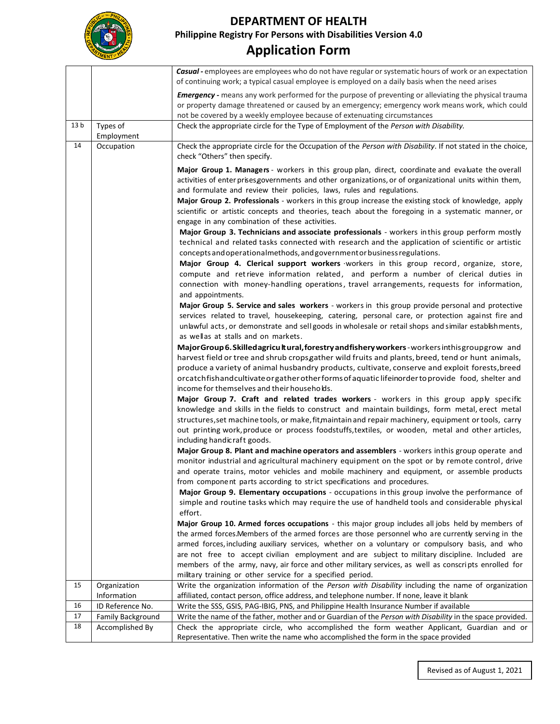

### **DEPARTMENT OF HEALTH Philippine Registry For Persons with Disabilities Version 4.0 Application Form**

|                 |                        | <b>Casual</b> - employees are employees who do not have regular or systematic hours of work or an expectation<br>of continuing work; a typical casual employee is employed on a daily basis when the need arises                                                                                                                                                                                                                                                                                                                                                                                                                                                                                                                                                                                                                                                                                                                                                                                                                                                                                                                                                                                                                                                                                                                                                                                                                                                                                                                                                                                                                                                                                                                                                                                                                                                                                                                                                                                                                                                                                                                                                                                                                                                                                                                                                                                                                                                                                                                                                                                                                                                                                                                                                                                                                                                                                                                                                                                       |
|-----------------|------------------------|--------------------------------------------------------------------------------------------------------------------------------------------------------------------------------------------------------------------------------------------------------------------------------------------------------------------------------------------------------------------------------------------------------------------------------------------------------------------------------------------------------------------------------------------------------------------------------------------------------------------------------------------------------------------------------------------------------------------------------------------------------------------------------------------------------------------------------------------------------------------------------------------------------------------------------------------------------------------------------------------------------------------------------------------------------------------------------------------------------------------------------------------------------------------------------------------------------------------------------------------------------------------------------------------------------------------------------------------------------------------------------------------------------------------------------------------------------------------------------------------------------------------------------------------------------------------------------------------------------------------------------------------------------------------------------------------------------------------------------------------------------------------------------------------------------------------------------------------------------------------------------------------------------------------------------------------------------------------------------------------------------------------------------------------------------------------------------------------------------------------------------------------------------------------------------------------------------------------------------------------------------------------------------------------------------------------------------------------------------------------------------------------------------------------------------------------------------------------------------------------------------------------------------------------------------------------------------------------------------------------------------------------------------------------------------------------------------------------------------------------------------------------------------------------------------------------------------------------------------------------------------------------------------------------------------------------------------------------------------------------------------|
|                 |                        | <b>Emergency</b> - means any work performed for the purpose of preventing or alleviating the physical trauma<br>or property damage threatened or caused by an emergency; emergency work means work, which could<br>not be covered by a weekly employee because of extenuating circumstances                                                                                                                                                                                                                                                                                                                                                                                                                                                                                                                                                                                                                                                                                                                                                                                                                                                                                                                                                                                                                                                                                                                                                                                                                                                                                                                                                                                                                                                                                                                                                                                                                                                                                                                                                                                                                                                                                                                                                                                                                                                                                                                                                                                                                                                                                                                                                                                                                                                                                                                                                                                                                                                                                                            |
| 13 <sub>b</sub> | Types of<br>Employment | Check the appropriate circle for the Type of Employment of the Person with Disability.                                                                                                                                                                                                                                                                                                                                                                                                                                                                                                                                                                                                                                                                                                                                                                                                                                                                                                                                                                                                                                                                                                                                                                                                                                                                                                                                                                                                                                                                                                                                                                                                                                                                                                                                                                                                                                                                                                                                                                                                                                                                                                                                                                                                                                                                                                                                                                                                                                                                                                                                                                                                                                                                                                                                                                                                                                                                                                                 |
| 14              | Occupation             | Check the appropriate circle for the Occupation of the Person with Disability. If not stated in the choice,<br>check "Others" then specify.                                                                                                                                                                                                                                                                                                                                                                                                                                                                                                                                                                                                                                                                                                                                                                                                                                                                                                                                                                                                                                                                                                                                                                                                                                                                                                                                                                                                                                                                                                                                                                                                                                                                                                                                                                                                                                                                                                                                                                                                                                                                                                                                                                                                                                                                                                                                                                                                                                                                                                                                                                                                                                                                                                                                                                                                                                                            |
|                 |                        | Major Group 1. Managers - workers in this group plan, direct, coordinate and evaluate the overall<br>activities of enter prises governments and other organizations, or of organizational units within them,<br>and formulate and review their policies, laws, rules and regulations.<br>Major Group 2. Professionals - workers in this group increase the existing stock of knowledge, apply<br>scientific or artistic concepts and theories, teach about the foregoing in a systematic manner, or<br>engage in any combination of these activities.<br>Major Group 3. Technicians and associate professionals - workers in this group perform mostly<br>technical and related tasks connected with research and the application of scientific or artistic<br>concepts and operationalmethods, and government or business regulations.<br>Major Group 4. Clerical support workers workers in this group record, organize, store,<br>compute and retrieve information related, and perform a number of clerical duties in<br>connection with money-handling operations, travel arrangements, requests for information,<br>and appointments.<br>Major Group 5. Service and sales workers - workers in this group provide personal and protective<br>services related to travel, housekeeping, catering, personal care, or protection against fire and<br>unlawful acts, or demonstrate and sellgoods in wholesale or retail shops and similar establish ments,<br>as wellas at stalls and on markets.<br>Major Group 6. Skilled agricu It ural, forestry and fishery workers - workers inthis group grow and<br>harvest field or tree and shrub cropsgather wild fruits and plants, breed, tend or hunt animals,<br>produce a variety of animal husbandry products, cultivate, conserve and exploit forests, breed<br>orcatchfishandcultivate orgather other forms of aquatic lifeinorder to provide food, shelter and<br>income for themselves and their households.<br>Major Group 7. Craft and related trades workers - workers in this group apply specific<br>knowledge and skills in the fields to construct and maintain buildings, form metal, erect metal<br>structures, set machine tools, or make, fit maintain and repair machinery, equipment or tools, carry<br>out printing work, produce or process foodstuffs, textiles, or wooden, metal and other articles,<br>including handicraft goods.<br>Major Group 8. Plant and machine operators and assemblers - workers inthis group operate and<br>monitor industrial and agricultural machinery equipment on the spot or by remote control, drive<br>and operate trains, motor vehicles and mobile machinery and equipment, or assemble products<br>from component parts according to strict specifications and procedures.<br>Major Group 9. Elementary occupations - occupations in this group involve the performance of<br>simple and routine tasks which may require the use of handheld tools and considerable physical<br>effort. |
|                 |                        | Major Group 10. Armed forces occupations - this major group includes all jobs held by members of<br>the armed forces. Members of the armed forces are those personnel who are currently serving in the                                                                                                                                                                                                                                                                                                                                                                                                                                                                                                                                                                                                                                                                                                                                                                                                                                                                                                                                                                                                                                                                                                                                                                                                                                                                                                                                                                                                                                                                                                                                                                                                                                                                                                                                                                                                                                                                                                                                                                                                                                                                                                                                                                                                                                                                                                                                                                                                                                                                                                                                                                                                                                                                                                                                                                                                 |
|                 |                        | armed forces, including auxiliary services, whether on a voluntary or compulsory basis, and who                                                                                                                                                                                                                                                                                                                                                                                                                                                                                                                                                                                                                                                                                                                                                                                                                                                                                                                                                                                                                                                                                                                                                                                                                                                                                                                                                                                                                                                                                                                                                                                                                                                                                                                                                                                                                                                                                                                                                                                                                                                                                                                                                                                                                                                                                                                                                                                                                                                                                                                                                                                                                                                                                                                                                                                                                                                                                                        |
|                 |                        | are not free to accept civilian employment and are subject to military discipline. Included are                                                                                                                                                                                                                                                                                                                                                                                                                                                                                                                                                                                                                                                                                                                                                                                                                                                                                                                                                                                                                                                                                                                                                                                                                                                                                                                                                                                                                                                                                                                                                                                                                                                                                                                                                                                                                                                                                                                                                                                                                                                                                                                                                                                                                                                                                                                                                                                                                                                                                                                                                                                                                                                                                                                                                                                                                                                                                                        |
|                 |                        | members of the army, navy, air force and other military services, as well as conscripts enrolled for<br>military training or other service for a specified period.                                                                                                                                                                                                                                                                                                                                                                                                                                                                                                                                                                                                                                                                                                                                                                                                                                                                                                                                                                                                                                                                                                                                                                                                                                                                                                                                                                                                                                                                                                                                                                                                                                                                                                                                                                                                                                                                                                                                                                                                                                                                                                                                                                                                                                                                                                                                                                                                                                                                                                                                                                                                                                                                                                                                                                                                                                     |
| 15              | Organization           | Write the organization information of the Person with Disability including the name of organization                                                                                                                                                                                                                                                                                                                                                                                                                                                                                                                                                                                                                                                                                                                                                                                                                                                                                                                                                                                                                                                                                                                                                                                                                                                                                                                                                                                                                                                                                                                                                                                                                                                                                                                                                                                                                                                                                                                                                                                                                                                                                                                                                                                                                                                                                                                                                                                                                                                                                                                                                                                                                                                                                                                                                                                                                                                                                                    |
|                 | Information            | affiliated, contact person, office address, and telephone number. If none, leave it blank                                                                                                                                                                                                                                                                                                                                                                                                                                                                                                                                                                                                                                                                                                                                                                                                                                                                                                                                                                                                                                                                                                                                                                                                                                                                                                                                                                                                                                                                                                                                                                                                                                                                                                                                                                                                                                                                                                                                                                                                                                                                                                                                                                                                                                                                                                                                                                                                                                                                                                                                                                                                                                                                                                                                                                                                                                                                                                              |
| 16              | ID Reference No.       | Write the SSS, GSIS, PAG-IBIG, PNS, and Philippine Health Insurance Number if available                                                                                                                                                                                                                                                                                                                                                                                                                                                                                                                                                                                                                                                                                                                                                                                                                                                                                                                                                                                                                                                                                                                                                                                                                                                                                                                                                                                                                                                                                                                                                                                                                                                                                                                                                                                                                                                                                                                                                                                                                                                                                                                                                                                                                                                                                                                                                                                                                                                                                                                                                                                                                                                                                                                                                                                                                                                                                                                |
| 17              | Family Background      | Write the name of the father, mother and or Guardian of the Person with Disability in the space provided.                                                                                                                                                                                                                                                                                                                                                                                                                                                                                                                                                                                                                                                                                                                                                                                                                                                                                                                                                                                                                                                                                                                                                                                                                                                                                                                                                                                                                                                                                                                                                                                                                                                                                                                                                                                                                                                                                                                                                                                                                                                                                                                                                                                                                                                                                                                                                                                                                                                                                                                                                                                                                                                                                                                                                                                                                                                                                              |
| 18              | Accomplished By        | Check the appropriate circle, who accomplished the form weather Applicant, Guardian and or                                                                                                                                                                                                                                                                                                                                                                                                                                                                                                                                                                                                                                                                                                                                                                                                                                                                                                                                                                                                                                                                                                                                                                                                                                                                                                                                                                                                                                                                                                                                                                                                                                                                                                                                                                                                                                                                                                                                                                                                                                                                                                                                                                                                                                                                                                                                                                                                                                                                                                                                                                                                                                                                                                                                                                                                                                                                                                             |
|                 |                        | Representative. Then write the name who accomplished the form in the space provided                                                                                                                                                                                                                                                                                                                                                                                                                                                                                                                                                                                                                                                                                                                                                                                                                                                                                                                                                                                                                                                                                                                                                                                                                                                                                                                                                                                                                                                                                                                                                                                                                                                                                                                                                                                                                                                                                                                                                                                                                                                                                                                                                                                                                                                                                                                                                                                                                                                                                                                                                                                                                                                                                                                                                                                                                                                                                                                    |